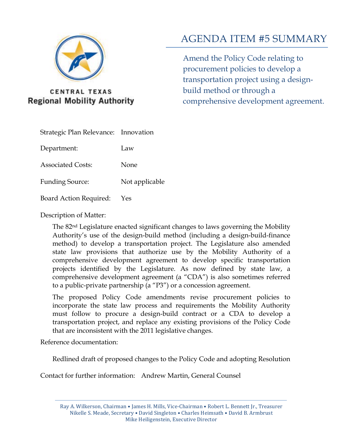

# **CENTRAL TEXAS Regional Mobility Authority**

# AGENDA ITEM #5 SUMMARY

Amend the Policy Code relating to procurement policies to develop a transportation project using a designbuild method or through a comprehensive development agreement.

| Strategic Plan Relevance: Innovation |                |
|--------------------------------------|----------------|
| Department:                          | Law            |
| <b>Associated Costs:</b>             | None           |
| <b>Funding Source:</b>               | Not applicable |
| Board Action Required:               | Yes            |

Description of Matter:

The 82nd Legislature enacted significant changes to laws governing the Mobility Authority's use of the design-build method (including a design-build-finance method) to develop a transportation project. The Legislature also amended state law provisions that authorize use by the Mobility Authority of a comprehensive development agreement to develop specific transportation projects identified by the Legislature. As now defined by state law, a comprehensive development agreement (a "CDA") is also sometimes referred to a public-private partnership (a "P3") or a concession agreement.

The proposed Policy Code amendments revise procurement policies to incorporate the state law process and requirements the Mobility Authority must follow to procure a design-build contract or a CDA to develop a transportation project, and replace any existing provisions of the Policy Code that are inconsistent with the 2011 legislative changes.

Reference documentation:

Redlined draft of proposed changes to the Policy Code and adopting Resolution

Contact for further information: Andrew Martin, General Counsel

Ray A. Wilkerson, Chairman • James H. Mills, Vice-Chairman • Robert L. Bennett Jr., Treasurer Nikelle S. Meade, Secretary • David Singleton • Charles Heimsath • David B. Armbrust Mike Heiligenstein, Executive Director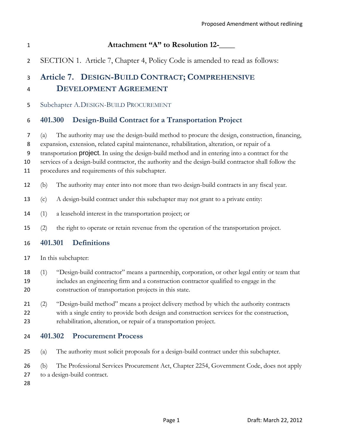# **Attachment "A" to Resolution 12-\_\_\_\_**

SECTION 1. Article 7, Chapter 4, Policy Code is amended to read as follows:

# **Article 7. DESIGN-BUILD CONTRACT; COMPREHENSIVE DEVELOPMENT AGREEMENT**

Subchapter A.DESIGN-BUILD PROCUREMENT

# **401.300 Design-Build Contract for a Transportation Project**

(a) The authority may use the design-build method to procure the design, construction, financing,

expansion, extension, related capital maintenance, rehabilitation, alteration, or repair of a

transportation project. In using the design-build method and in entering into a contract for the

services of a design-build contractor, the authority and the design-build contractor shall follow the

- procedures and requirements of this subchapter.
- (b) The authority may enter into not more than two design-build contracts in any fiscal year.
- (c) A design-build contract under this subchapter may not grant to a private entity:
- (1) a leasehold interest in the transportation project; or
- (2) the right to operate or retain revenue from the operation of the transportation project.

#### **401.301 Definitions**

- In this subchapter:
- (1) "Design-build contractor" means a partnership, corporation, or other legal entity or team that includes an engineering firm and a construction contractor qualified to engage in the construction of transportation projects in this state.
- (2) "Design-build method" means a project delivery method by which the authority contracts with a single entity to provide both design and construction services for the construction, rehabilitation, alteration, or repair of a transportation project.

#### **401.302 Procurement Process**

(a) The authority must solicit proposals for a design-build contract under this subchapter.

 (b) The Professional Services Procurement Act, Chapter 2254, Government Code, does not apply to a design-build contract.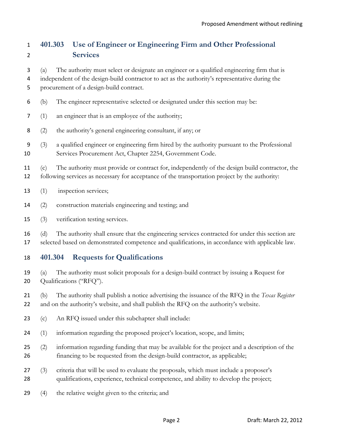# **401.303 Use of Engineer or Engineering Firm and Other Professional Services**

(a) The authority must select or designate an engineer or a qualified engineering firm that is

independent of the design-build contractor to act as the authority's representative during the

procurement of a design-build contract.

- (b) The engineer representative selected or designated under this section may be:
- (1) an engineer that is an employee of the authority;
- (2) the authority's general engineering consultant, if any; or

 (3) a qualified engineer or engineering firm hired by the authority pursuant to the Professional Services Procurement Act, Chapter 2254, Government Code.

 (c) The authority must provide or contract for, independently of the design build contractor, the following services as necessary for acceptance of the transportation project by the authority:

- (1) inspection services;
- (2) construction materials engineering and testing; and

(3) verification testing services.

 (d) The authority shall ensure that the engineering services contracted for under this section are selected based on demonstrated competence and qualifications, in accordance with applicable law.

#### <span id="page-2-0"></span>**401.304 Requests for Qualifications**

 (a) The authority must solicit proposals for a design-build contract by issuing a Request for Qualifications ("RFQ").

 (b) The authority shall publish a notice advertising the issuance of the RFQ in the *Texas Register* and on the authority's website, and shall publish the RFQ on the authority's website.

- 23 (c) An RFQ issued under this subchapter shall include:
- (1) information regarding the proposed project's location, scope, and limits;
- (2) information regarding funding that may be available for the project and a description of the financing to be requested from the design-build contractor, as applicable;
- (3) criteria that will be used to evaluate the proposals, which must include a proposer's qualifications, experience, technical competence, and ability to develop the project;
- (4) the relative weight given to the criteria; and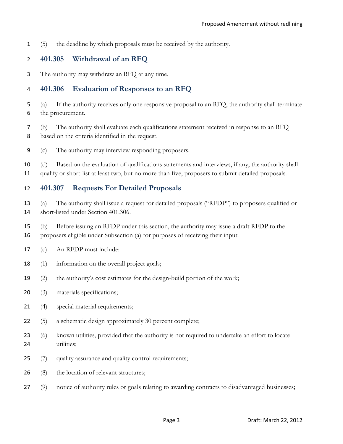(5) the deadline by which proposals must be received by the authority.

#### **401.305 Withdrawal of an RFQ**

The authority may withdraw an RFQ at any time.

#### <span id="page-3-0"></span>**401.306 Evaluation of Responses to an RFQ**

- (a) If the authority receives only one responsive proposal to an RFQ, the authority shall terminate the procurement.
- (b) The authority shall evaluate each qualifications statement received in response to an RFQ based on the criteria identified in the request.
- (c) The authority may interview responding proposers.
- (d) Based on the evaluation of qualifications statements and interviews, if any, the authority shall qualify or short-list at least two, but no more than five, proposers to submit detailed proposals.
- **401.307 Requests For Detailed Proposals**
- (a) The authority shall issue a request for detailed proposals ("RFDP") to proposers qualified or short-listed under Section [401.306.](#page-3-0)
- (b) Before issuing an RFDP under this section, the authority may issue a draft RFDP to the proposers eligible under Subsection (a) for purposes of receiving their input.
- (c) An RFDP must include:
- (1) information on the overall project goals;
- (2) the authority's cost estimates for the design-build portion of the work;
- (3) materials specifications;
- (4) special material requirements;
- 22 (5) a schematic design approximately 30 percent complete;
- (6) known utilities, provided that the authority is not required to undertake an effort to locate utilities;
- (7) quality assurance and quality control requirements;
- 26 (8) the location of relevant structures;
- (9) notice of authority rules or goals relating to awarding contracts to disadvantaged businesses;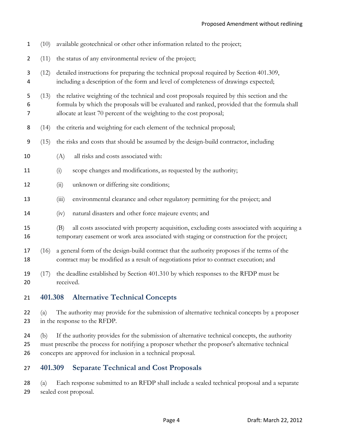- (10) available geotechnical or other other information related to the project;
- 2 (11) the status of any environmental review of the project;
- (12) detailed instructions for preparing the technical proposal required by Section [401.309,](#page-4-0) including a description of the form and level of completeness of drawings expected;
- (13) the relative weighting of the technical and cost proposals required by this section and the formula by which the proposals will be evaluated and ranked, provided that the formula shall allocate at least 70 percent of the weighting to the cost proposal;
- (14) the criteria and weighting for each element of the technical proposal;
- (15) the risks and costs that should be assumed by the design-build contractor, including
- (A) all risks and costs associated with:
- (i) scope changes and modifications, as requested by the authority;
- 12 (ii) unknown or differing site conditions;
- (iii) environmental clearance and other regulatory permitting for the project; and
- (iv) natural disasters and other force majeure events; and
- (B) all costs associated with property acquisition, excluding costs associated with acquiring a temporary easement or work area associated with staging or construction for the project;
- (16) a general form of the design-build contract that the authority proposes if the terms of the contract may be modified as a result of negotiations prior to contract execution; and
- (17) the deadline established by Section [401.310](#page-5-0) by which responses to the RFDP must be received.
- **401.308 Alternative Technical Concepts**
- (a) The authority may provide for the submission of alternative technical concepts by a proposer in the response to the RFDP.
- (b) If the authority provides for the submission of alternative technical concepts, the authority must prescribe the process for notifying a proposer whether the proposer's alternative technical concepts are approved for inclusion in a technical proposal.
- <span id="page-4-0"></span>**401.309 Separate Technical and Cost Proposals**
- (a) Each response submitted to an RFDP shall include a sealed technical proposal and a separate sealed cost proposal.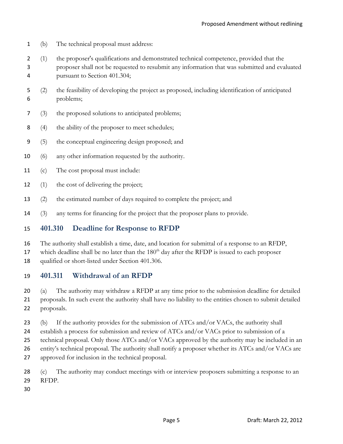- (b) The technical proposal must address:
- (1) the proposer's qualifications and demonstrated technical competence, provided that the proposer shall not be requested to resubmit any information that was submitted and evaluated pursuant to Section [401.304;](#page-2-0)
- (2) the feasibility of developing the project as proposed, including identification of anticipated problems;
- (3) the proposed solutions to anticipated problems;
- (4) the ability of the proposer to meet schedules;
- (5) the conceptual engineering design proposed; and
- (6) any other information requested by the authority.
- (c) The cost proposal must include:
- (1) the cost of delivering the project;
- (2) the estimated number of days required to complete the project; and
- (3) any terms for financing for the project that the proposer plans to provide.

#### <span id="page-5-0"></span>**401.310 Deadline for Response to RFDP**

- The authority shall establish a time, date, and location for submittal of a response to an RFDP,
- 17 which deadline shall be no later than the  $180<sup>th</sup>$  day after the RFDP is issued to each proposer
- qualified or short-listed under Section [401.306.](#page-3-0)

#### **401.311 Withdrawal of an RFDP**

- (a) The authority may withdraw a RFDP at any time prior to the submission deadline for detailed proposals. In such event the authority shall have no liability to the entities chosen to submit detailed
- proposals.
- 23 (b) If the authority provides for the submission of ATCs and/or VACs, the authority shall
- establish a process for submission and review of ATCs and/or VACs prior to submission of a
- technical proposal. Only those ATCs and/or VACs approved by the authority may be included in an
- 26 entity's technical proposal. The authority shall notify a proposer whether its ATCs and/or VACs are
- approved for inclusion in the technical proposal.
- (c) The authority may conduct meetings with or interview proposers submitting a response to an RFDP.
-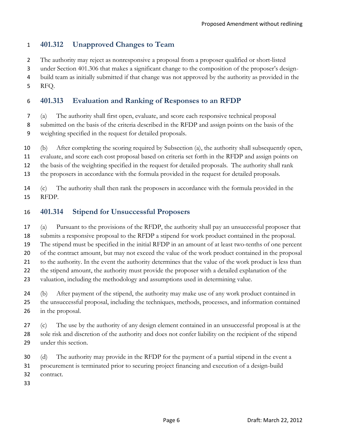#### **401.312 Unapproved Changes to Team**

- The authority may reject as nonresponsive a proposal from a proposer qualified or short-listed
- under Section [401.306](#page-3-0) that makes a significant change to the composition of the proposer's design-
- build team as initially submitted if that change was not approved by the authority as provided in the
- RFQ.

# <span id="page-6-0"></span>**401.313 Evaluation and Ranking of Responses to an RFDP**

- (a) The authority shall first open, evaluate, and score each responsive technical proposal
- submitted on the basis of the criteria described in the RFDP and assign points on the basis of the weighting specified in the request for detailed proposals.
- (b) After completing the scoring required by Subsection (a), the authority shall subsequently open,
- evaluate, and score each cost proposal based on criteria set forth in the RFDP and assign points on
- the basis of the weighting specified in the request for detailed proposals. The authority shall rank
- the proposers in accordance with the formula provided in the request for detailed proposals.
- (c) The authority shall then rank the proposers in accordance with the formula provided in the RFDP.

# <span id="page-6-1"></span>**401.314 Stipend for Unsuccessful Proposers**

 (a) Pursuant to the provisions of the RFDP, the authority shall pay an unsuccessful proposer that submits a responsive proposal to the RFDP a stipend for work product contained in the proposal. The stipend must be specified in the initial RFDP in an amount of at least two-tenths of one percent of the contract amount, but may not exceed the value of the work product contained in the proposal 21 to the authority. In the event the authority determines that the value of the work product is less than the stipend amount, the authority must provide the proposer with a detailed explanation of the valuation, including the methodology and assumptions used in determining value.

- (b) After payment of the stipend, the authority may make use of any work product contained in the unsuccessful proposal, including the techniques, methods, processes, and information contained in the proposal.
- (c) The use by the authority of any design element contained in an unsuccessful proposal is at the sole risk and discretion of the authority and does not confer liability on the recipient of the stipend under this section.
- (d) The authority may provide in the RFDP for the payment of a partial stipend in the event a
- procurement is terminated prior to securing project financing and execution of a design-build
- contract.
-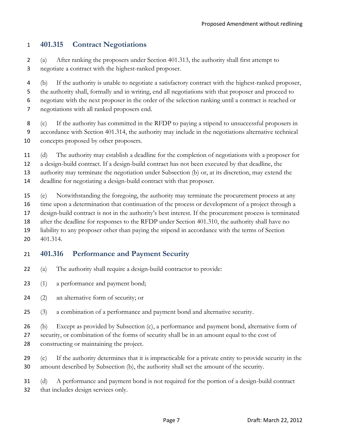#### **401.315 Contract Negotiations**

 (a) After ranking the proposers under Section [401.313,](#page-6-0) the authority shall first attempt to negotiate a contract with the highest-ranked proposer.

 (b) If the authority is unable to negotiate a satisfactory contract with the highest-ranked proposer, the authority shall, formally and in writing, end all negotiations with that proposer and proceed to negotiate with the next proposer in the order of the selection ranking until a contract is reached or negotiations with all ranked proposers end.

 (c) If the authority has committed in the RFDP to paying a stipend to unsuccessful proposers in accordance with Section [401.314,](#page-6-1) the authority may include in the negotiations alternative technical concepts proposed by other proposers.

(d) The authority may establish a deadline for the completion of negotiations with a proposer for

a design-build contract. If a design-build contract has not been executed by that deadline, the

authority may terminate the negotiation under Subsection (b) or, at its discretion, may extend the

deadline for negotiating a design-build contract with that proposer.

 (e) Notwithstanding the foregoing, the authority may terminate the procurement process at any time upon a determination that continuation of the process or development of a project through a

design-build contract is not in the authority's best interest. If the procurement process is terminated

after the deadline for responses to the RFDP under Section [401.310,](#page-5-0) the authority shall have no

liability to any proposer other than paying the stipend in accordance with the terms of Section

[401.314.](#page-6-1)

# **401.316 Performance and Payment Security**

- (a) The authority shall require a design-build contractor to provide:
- 23 (1) a performance and payment bond;
- (2) an alternative form of security; or
- (3) a combination of a performance and payment bond and alternative security.
- (b) Except as provided by Subsection (c), a performance and payment bond, alternative form of

security, or combination of the forms of security shall be in an amount equal to the cost of

- 28 constructing or maintaining the project.
- (c) If the authority determines that it is impracticable for a private entity to provide security in the amount described by Subsection (b), the authority shall set the amount of the security.

 (d) A performance and payment bond is not required for the portion of a design-build contract that includes design services only.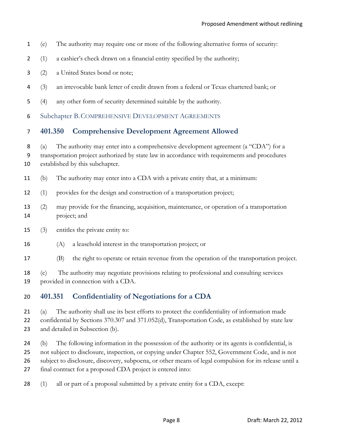- (e) The authority may require one or more of the following alternative forms of security:
- (1) a cashier's check drawn on a financial entity specified by the authority;
- (2) a United States bond or note;
- (3) an irrevocable bank letter of credit drawn from a federal or Texas chartered bank; or
- (4) any other form of security determined suitable by the authority.
- Subchapter B.COMPREHENSIVE DEVELOPMENT AGREEMENTS

#### **401.350 Comprehensive Development Agreement Allowed**

(a) The authority may enter into a comprehensive development agreement (a "CDA") for a

- transportation project authorized by state law in accordance with requirements and procedures established by this subchapter.
- (b) The authority may enter into a CDA with a private entity that, at a minimum:
- (1) provides for the design and construction of a transportation project;
- (2) may provide for the financing, acquisition, maintenance, or operation of a transportation project; and
- (3) entitles the private entity to:
- (A) a leasehold interest in the transportation project; or
- (B) the right to operate or retain revenue from the operation of the transportation project.
- (c) The authority may negotiate provisions relating to professional and consulting services provided in connection with a CDA.

#### **401.351 Confidentiality of Negotiations for a CDA**

(a) The authority shall use its best efforts to protect the confidentiality of information made

- 22 confidential by Sections 370.307 and 371.052(d), Transportation Code, as established by state law and detailed in Subsection (b).
- (b) The following information in the possession of the authority or its agents is confidential, is not subject to disclosure, inspection, or copying under Chapter 552, Government Code, and is not subject to disclosure, discovery, subpoena, or other means of legal compulsion for its release until a final contract for a proposed CDA project is entered into:
- (1) all or part of a proposal submitted by a private entity for a CDA, except: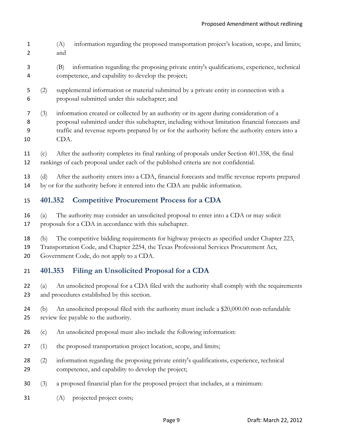- (A) information regarding the proposed transportation project's location, scope, and limits; and
- (B) information regarding the proposing private entity's qualifications, experience, technical competence, and capability to develop the project;
- (2) supplemental information or material submitted by a private entity in connection with a proposal submitted under this subchapter; and
- (3) information created or collected by an authority or its agent during consideration of a proposal submitted under this subchapter, including without limitation financial forecasts and traffic and revenue reports prepared by or for the authority before the authority enters into a CDA.
- (c) After the authority completes its final ranking of proposals under Section [401.358,](#page-12-0) the final rankings of each proposal under each of the published criteria are not confidential.
- (d) After the authority enters into a CDA, financial forecasts and traffic revenue reports prepared by or for the authority before it entered into the CDA are public information.

# **401.352 Competitive Procurement Process for a CDA**

- (a) The authority may consider an unsolicited proposal to enter into a CDA or may solicit proposals for a CDA in accordance with this subchapter.
- (b) The competitive bidding requirements for highway projects as specified under Chapter 223,
- Transportation Code, and Chapter 2254, the Texas Professional Services Procurement Act,
- Government Code, do not apply to a CDA.

# <span id="page-9-0"></span>**401.353 Filing an Unsolicited Proposal for a CDA**

- (a) An unsolicited proposal for a CDA filed with the authority shall comply with the requirements and procedures established by this section.
- <span id="page-9-1"></span>24 (b) An unsolicited proposal filed with the authority must include a \$20,000.00 non-refundable review fee payable to the authority.
- (c) An unsolicited proposal must also include the following information:
- (1) the proposed transportation project location, scope, and limits;
- (2) information regarding the proposing private entity's qualifications, experience, technical competence, and capability to develop the project;
- (3) a proposed financial plan for the proposed project that includes, at a minimum:
- (A) projected project costs;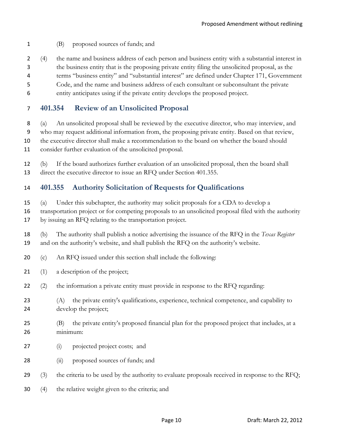(B) proposed sources of funds; and

(4) the name and business address of each person and business entity with a substantial interest in

the business entity that is the proposing private entity filing the unsolicited proposal, as the

terms "business entity" and "substantial interest" are defined under Chapter 171, Government

Code, and the name and business address of each consultant or subconsultant the private

entity anticipates using if the private entity develops the proposed project.

#### **401.354 Review of an Unsolicited Proposal**

 (a) An unsolicited proposal shall be reviewed by the executive director, who may interview, and who may request additional information from, the proposing private entity. Based on that review, the executive director shall make a recommendation to the board on whether the board should consider further evaluation of the unsolicited proposal.

 (b) If the board authorizes further evaluation of an unsolicited proposal, then the board shall 13 direct the executive director to issue an RFQ under Section [401.355.](#page-10-0)

# <span id="page-10-0"></span>**401.355 Authority Solicitation of Requests for Qualifications**

 (a) Under this subchapter, the authority may solicit proposals for a CDA to develop a transportation project or for competing proposals to an unsolicited proposal filed with the authority

by issuing an RFQ relating to the transportation project.

 (b) The authority shall publish a notice advertising the issuance of the RFQ in the *Texas Register* and on the authority's website, and shall publish the RFQ on the authority's website.

- (c) An RFQ issued under this section shall include the following:
- 21 (1) a description of the project;
- (2) the information a private entity must provide in response to the RFQ regarding:
- (A) the private entity's qualifications, experience, technical competence, and capability to develop the project;
- (B) the private entity's proposed financial plan for the proposed project that includes, at a minimum:
- 27 (i) projected project costs; and
- 28 (ii) proposed sources of funds; and
- (3) the criteria to be used by the authority to evaluate proposals received in response to the RFQ;
- (4) the relative weight given to the criteria; and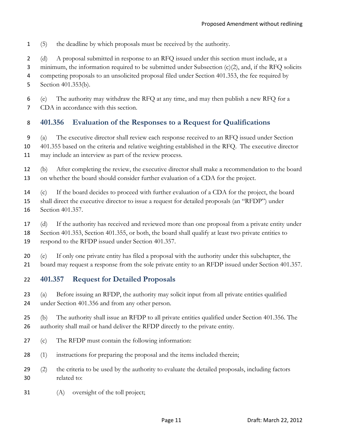- (5) the deadline by which proposals must be received by the authority.
- (d) A proposal submitted in response to an RFQ issued under this section must include, at a
- minimum, the information required to be submitted under Subsection (c)(2), and, if the RFQ solicits
- competing proposals to an unsolicited proposal filed under Section [401.353,](#page-9-0) the fee required by
- Section [401.353\(b\).](#page-9-1)
- (e) The authority may withdraw the RFQ at any time, and may then publish a new RFQ for a
- CDA in accordance with this section.

# <span id="page-11-1"></span>**401.356 Evaluation of the Responses to a Request for Qualifications**

- (a) The executive director shall review each response received to an RFQ issued under Section
- [401.355](#page-10-0) based on the criteria and relative weighting established in the RFQ. The executive director may include an interview as part of the review process.
- (b) After completing the review, the executive director shall make a recommendation to the board on whether the board should consider further evaluation of a CDA for the project.
- (c) If the board decides to proceed with further evaluation of a CDA for the project, the board
- shall direct the executive director to issue a request for detailed proposals (an "RFDP") under Section [401.357.](#page-11-0)
- (d) If the authority has received and reviewed more than one proposal from a private entity under Section [401.353,](#page-9-0) Section [401.355,](#page-10-0) or both, the board shall qualify at least two private entities to respond to the RFDP issued under Section [401.357.](#page-11-0)
- (e) If only one private entity has filed a proposal with the authority under this subchapter, the
- board may request a response from the sole private entity to an RFDP issued under Section [401.357.](#page-11-0)

#### <span id="page-11-0"></span>**401.357 Request for Detailed Proposals**

- (a) Before issuing an RFDP, the authority may solicit input from all private entities qualified under Section [401.356](#page-11-1) and from any other person.
- (b) The authority shall issue an RFDP to all private entities qualified under Section [401.356.](#page-11-1) The authority shall mail or hand deliver the RFDP directly to the private entity.
- (c) The RFDP must contain the following information:
- (1) instructions for preparing the proposal and the items included therein;
- (2) the criteria to be used by the authority to evaluate the detailed proposals, including factors related to:
- (A) oversight of the toll project;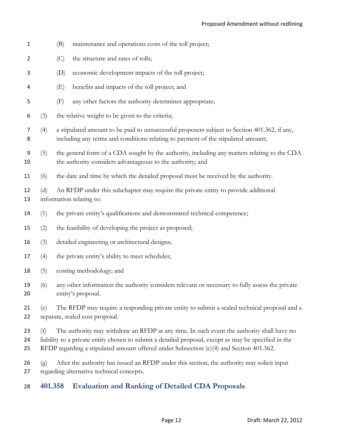| $\mathbf{1}$   |     | (B) | maintenance and operations costs of the toll project;                                                                                                                                                                                                                                         |
|----------------|-----|-----|-----------------------------------------------------------------------------------------------------------------------------------------------------------------------------------------------------------------------------------------------------------------------------------------------|
| $\overline{2}$ |     | (C) | the structure and rates of tolls;                                                                                                                                                                                                                                                             |
| 3              |     | (D) | economic development impacts of the toll project;                                                                                                                                                                                                                                             |
| 4              |     | (E) | benefits and impacts of the toll project; and                                                                                                                                                                                                                                                 |
| 5              |     | (F) | any other factors the authority determines appropriate;                                                                                                                                                                                                                                       |
| 6              | (3) |     | the relative weight to be given to the criteria;                                                                                                                                                                                                                                              |
| 7<br>8         | (4) |     | a stipulated amount to be paid to unsuccessful proposers subject to Section 401.362, if any,<br>including any terms and conditions relating to payment of the stipulated amount;                                                                                                              |
| 9<br>10        | (5) |     | the general form of a CDA sought by the authority, including any matters relating to the CDA<br>the authority considers advantageous to the authority; and                                                                                                                                    |
| 11             | (6) |     | the date and time by which the detailed proposal must be received by the authority.                                                                                                                                                                                                           |
| 12<br>13       | (d) |     | An RFDP under this subchapter may require the private entity to provide additional<br>information relating to:                                                                                                                                                                                |
| 14             | (1) |     | the private entity's qualifications and demonstrated technical competence;                                                                                                                                                                                                                    |
| 15             | (2) |     | the feasibility of developing the project as proposed;                                                                                                                                                                                                                                        |
| 16             | (3) |     | detailed engineering or architectural designs;                                                                                                                                                                                                                                                |
| 17             | (4) |     | the private entity's ability to meet schedules;                                                                                                                                                                                                                                               |
| 18             | (5) |     | costing methodology; and                                                                                                                                                                                                                                                                      |
| 19<br>20       | (6) |     | any other information the authority considers relevant or necessary to fully assess the private<br>entity's proposal.                                                                                                                                                                         |
| 21<br>22       | (e) |     | The RFDP may require a responding private entity to submit a sealed technical proposal and a<br>separate, sealed cost proposal.                                                                                                                                                               |
| 23<br>24<br>25 | (f) |     | The authority may withdraw an RFDP at any time. In such event the authority shall have no<br>liability to a private entity chosen to submit a detailed proposal, except as may be specified in the<br>RFDP regarding a stipulated amount offered under Subsection (c)(4) and Section 401.362. |
| 26<br>27       | (g) |     | After the authority has issued an RFDP under this section, the authority may solicit input<br>regarding alternative technical concepts.                                                                                                                                                       |
|                |     |     |                                                                                                                                                                                                                                                                                               |

#### <span id="page-12-0"></span>**401.358 Evaluation and Ranking of Detailed CDA Proposals**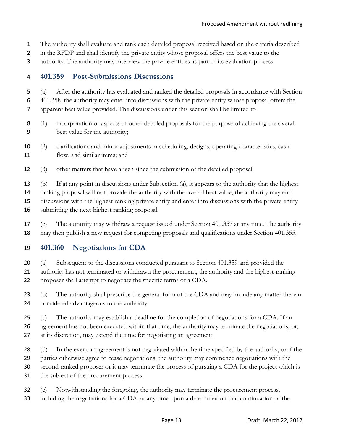The authority shall evaluate and rank each detailed proposal received based on the criteria described

- 2 in the RFDP and shall identify the private entity whose proposal offers the best value to the
- authority. The authority may interview the private entities as part of its evaluation process.

#### <span id="page-13-0"></span>**401.359 Post-Submissions Discussions**

- (a) After the authority has evaluated and ranked the detailed proposals in accordance with Section [401.358,](#page-12-0) the authority may enter into discussions with the private entity whose proposal offers the apparent best value provided, The discussions under this section shall be limited to
- (1) incorporation of aspects of other detailed proposals for the purpose of achieving the overall best value for the authority;
- (2) clarifications and minor adjustments in scheduling, designs, operating characteristics, cash flow, and similar items; and
- (3) other matters that have arisen since the submission of the detailed proposal.

 (b) If at any point in discussions under Subsection (a), it appears to the authority that the highest ranking proposal will not provide the authority with the overall best value, the authority may end discussions with the highest-ranking private entity and enter into discussions with the private entity submitting the next-highest ranking proposal.

 (c) The authority may withdraw a request issued under Section [401.357](#page-11-0) at any time. The authority may then publish a new request for competing proposals and qualifications under Section [401.355.](#page-10-0)

#### **401.360 Negotiations for CDA**

 (a) Subsequent to the discussions conducted pursuant to Section [401.359](#page-13-0) and provided the 21 authority has not terminated or withdrawn the procurement, the authority and the highest-ranking proposer shall attempt to negotiate the specific terms of a CDA.

 (b) The authority shall prescribe the general form of the CDA and may include any matter therein considered advantageous to the authority.

 (c) The authority may establish a deadline for the completion of negotiations for a CDA. If an agreement has not been executed within that time, the authority may terminate the negotiations, or, at its discretion, may extend the time for negotiating an agreement.

- (d) In the event an agreement is not negotiated within the time specified by the authority, or if the
- parties otherwise agree to cease negotiations, the authority may commence negotiations with the
- second-ranked proposer or it may terminate the process of pursuing a CDA for the project which is the subject of the procurement process.
- (e) Notwithstanding the foregoing, the authority may terminate the procurement process,
- including the negotiations for a CDA, at any time upon a determination that continuation of the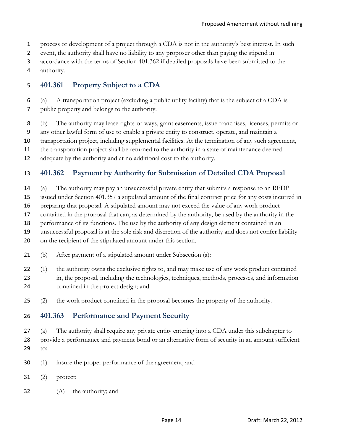process or development of a project through a CDA is not in the authority's best interest. In such

event, the authority shall have no liability to any proposer other than paying the stipend in

- accordance with the terms of Section [401.362](#page-14-0) if detailed proposals have been submitted to the
- authority.

# **401.361 Property Subject to a CDA**

 (a) A transportation project (excluding a public utility facility) that is the subject of a CDA is public property and belongs to the authority.

(b) The authority may lease rights-of-ways, grant easements, issue franchises, licenses, permits or

any other lawful form of use to enable a private entity to construct, operate, and maintain a

transportation project, including supplemental facilities. At the termination of any such agreement,

the transportation project shall be returned to the authority in a state of maintenance deemed

adequate by the authority and at no additional cost to the authority.

# <span id="page-14-0"></span>**401.362 Payment by Authority for Submission of Detailed CDA Proposal**

(a) The authority may pay an unsuccessful private entity that submits a response to an RFDP

issued under Section [401.357](#page-11-0) a stipulated amount of the final contract price for any costs incurred in

preparing that proposal. A stipulated amount may not exceed the value of any work product

contained in the proposal that can, as determined by the authority, be used by the authority in the

performance of its functions. The use by the authority of any design element contained in an

unsuccessful proposal is at the sole risk and discretion of the authority and does not confer liability

on the recipient of the stipulated amount under this section.

(b) After payment of a stipulated amount under Subsection (a):

 (1) the authority owns the exclusive rights to, and may make use of any work product contained in, the proposal, including the technologies, techniques, methods, processes, and information contained in the project design; and

(2) the work product contained in the proposal becomes the property of the authority.

# **401.363 Performance and Payment Security**

27 (a) The authority shall require any private entity entering into a CDA under this subchapter to

- provide a performance and payment bond or an alternative form of security in an amount sufficient to:
- (1) insure the proper performance of the agreement; and
- (2) protect:
- (A) the authority; and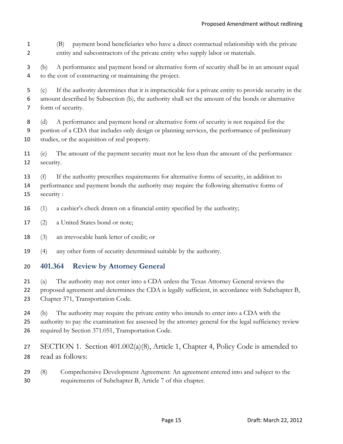- (B) payment bond beneficiaries who have a direct contractual relationship with the private entity and subcontractors of the private entity who supply labor or materials.
- (b) A performance and payment bond or alternative form of security shall be in an amount equal to the cost of constructing or maintaining the project.
- (c) If the authority determines that it is impracticable for a private entity to provide security in the amount described by Subsection (b), the authority shall set the amount of the bonds or alternative form of security.
- (d) A performance and payment bond or alternative form of security is not required for the portion of a CDA that includes only design or planning services, the performance of preliminary studies, or the acquisition of real property.
- (e) The amount of the payment security must not be less than the amount of the performance security.
- (f) If the authority prescribes requirements for alternative forms of security, in addition to performance and payment bonds the authority may require the following alternative forms of security :
- (1) a cashier's check drawn on a financial entity specified by the authority;
- (2) a United States bond or note;
- (3) an irrevocable bank letter of credit; or
- (4) any other form of security determined suitable by the authority.

#### **401.364 Review by Attorney General**

- (a) The authority may not enter into a CDA unless the Texas Attorney General reviews the proposed agreement and determines the CDA is legally sufficient, in accordance with Subchapter B, 23 Chapter 371, Transportation Code.
- (b) The authority may require the private entity who intends to enter into a CDA with the authority to pay the examination fee assessed by the attorney general for the legal sufficiency review required by Section 371.051, Transportation Code.
- SECTION 1. Section 401.002(a)(8), Article 1, Chapter 4, Policy Code is amended to read as follows:
- (8) Comprehensive Development Agreement: An agreement entered into and subject to the requirements of Subchapter B, Article 7 of this chapter.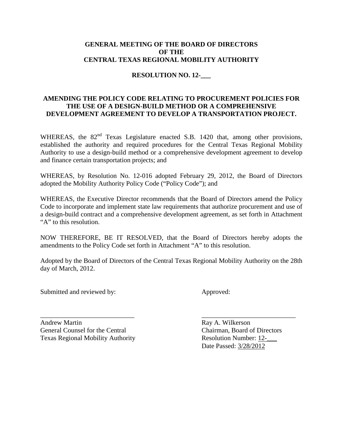#### **GENERAL MEETING OF THE BOARD OF DIRECTORS OF THE CENTRAL TEXAS REGIONAL MOBILITY AUTHORITY**

#### **RESOLUTION NO. 12-\_\_\_**

#### **AMENDING THE POLICY CODE RELATING TO PROCUREMENT POLICIES FOR THE USE OF A DESIGN-BUILD METHOD OR A COMPREHENSIVE DEVELOPMENT AGREEMENT TO DEVELOP A TRANSPORTATION PROJECT.**

WHEREAS, the  $82<sup>nd</sup>$  Texas Legislature enacted S.B. 1420 that, among other provisions, established the authority and required procedures for the Central Texas Regional Mobility Authority to use a design-build method or a comprehensive development agreement to develop and finance certain transportation projects; and

WHEREAS, by Resolution No. 12-016 adopted February 29, 2012, the Board of Directors adopted the Mobility Authority Policy Code ("Policy Code"); and

WHEREAS, the Executive Director recommends that the Board of Directors amend the Policy Code to incorporate and implement state law requirements that authorize procurement and use of a design-build contract and a comprehensive development agreement, as set forth in Attachment "A" to this resolution.

NOW THEREFORE, BE IT RESOLVED, that the Board of Directors hereby adopts the amendments to the Policy Code set forth in Attachment "A" to this resolution.

Adopted by the Board of Directors of the Central Texas Regional Mobility Authority on the 28th day of March, 2012.

\_\_\_\_\_\_\_\_\_\_\_\_\_\_\_\_\_\_\_\_\_\_\_\_\_\_\_\_ \_\_\_\_\_\_\_\_\_\_\_\_\_\_\_\_\_\_\_\_\_\_\_\_\_\_\_\_

Submitted and reviewed by: Approved:

Andrew Martin **Ray A. Wilkerson** General Counsel for the Central Chairman, Board of Directors Texas Regional Mobility Authority **Resolution Number: 12-**

Date Passed: 3/28/2012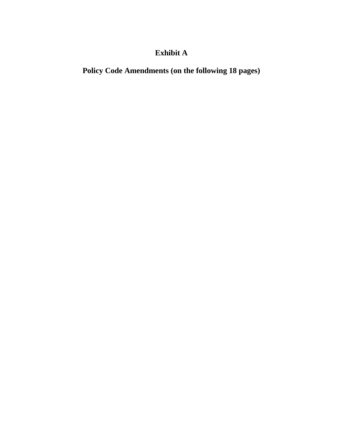# **Exhibit A**

**Policy Code Amendments (on the following 18 pages)**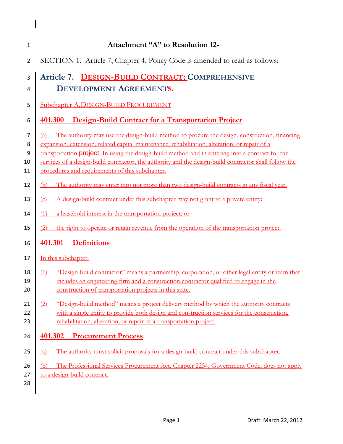**Attachment "A" to Resolution 12-\_\_\_\_** SECTION 1. Article 7, Chapter 4, Policy Code is amended to read as follows: **Article 7. DESIGN-BUILD CONTRACT; COMPREHENSIVE DEVELOPMENT AGREEMENTS.** 5 | Subchapter A.DESIGN-BUILD PROCUREMENT **401.300 Design-Build Contract for a Transportation Project** (a) The authority may use the design-build method to procure the design, construction, financing, expansion, extension, related capital maintenance, rehabilitation, alteration, or repair of a transportation project. In using the design-build method and in entering into a contract for the 10 services of a design-build contractor, the authority and the design-build contractor shall follow the 11 procedures and requirements of this subchapter. (b) The authority may enter into not more than two design-build contracts in any fiscal year. (c) A design-build contract under this subchapter may not grant to a private entity: 14 (1) a leasehold interest in the transportation project; or (2) the right to operate or retain revenue from the operation of the transportation project. **401.301 Definitions** 17 | In this subchapter: (1) "Design-build contractor" means a partnership, corporation, or other legal entity or team that includes an engineering firm and a construction contractor qualified to engage in the **construction of transportation projects in this state.** 21 (2) "Design-build method" means a project delivery method by which the authority contracts 22 with a single entity to provide both design and construction services for the construction, 23 rehabilitation, alteration, or repair of a transportation project. **401.302 Procurement Process**  $\int$  (a) The authority must solicit proposals for a design-build contract under this subchapter. (b) The Professional Services Procurement Act, Chapter 2254, Government Code, does not apply  $\vert$  to a design-build contract.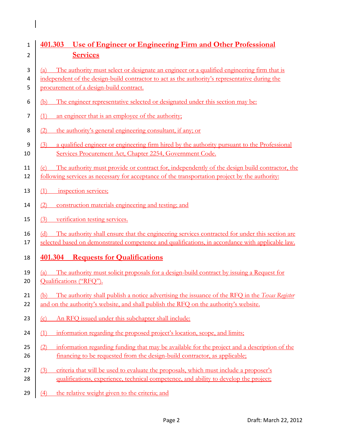<span id="page-19-0"></span>

| $\mathbf{1}$   | Use of Engineer or Engineering Firm and Other Professional<br>401.303                                                                                                                                                                   |
|----------------|-----------------------------------------------------------------------------------------------------------------------------------------------------------------------------------------------------------------------------------------|
| 2              | <b>Services</b>                                                                                                                                                                                                                         |
| 3<br>4<br>5    | The authority must select or designate an engineer or a qualified engineering firm that is<br>independent of the design-build contractor to act as the authority's representative during the<br>procurement of a design-build contract. |
| 6              | The engineer representative selected or designated under this section may be:<br>(b)                                                                                                                                                    |
| $\overline{7}$ | an engineer that is an employee of the authority;<br>(1)                                                                                                                                                                                |
| 8              | the authority's general engineering consultant, if any; or                                                                                                                                                                              |
| 9<br>10        | a qualified engineer or engineering firm hired by the authority pursuant to the Professional<br>(3)<br>Services Procurement Act, Chapter 2254, Government Code.                                                                         |
| 11<br>12       | The authority must provide or contract for, independently of the design build contractor, the<br>(c)<br>following services as necessary for acceptance of the transportation project by the authority:                                  |
| 13             | inspection services;<br>(1)                                                                                                                                                                                                             |
| 14             | construction materials engineering and testing; and<br>(2)                                                                                                                                                                              |
| 15             | verification testing services.<br>(3)                                                                                                                                                                                                   |
| 16<br>17       | The authority shall ensure that the engineering services contracted for under this section are<br>(d)<br>selected based on demonstrated competence and qualifications, in accordance with applicable law.                               |
| 18             | 401.304 Requests for Qualifications                                                                                                                                                                                                     |
| 19<br>20       | The authority must solicit proposals for a design-build contract by issuing a Request for<br>(a)<br>Qualifications ("RFO").                                                                                                             |
| 21<br>22       | The authority shall publish a notice advertising the issuance of the RFO in the Texas Register<br>(b)<br>and on the authority's website, and shall publish the RFQ on the authority's website.                                          |
| 23             | An RFQ issued under this subchapter shall include:<br>(c)                                                                                                                                                                               |
| 24             | information regarding the proposed project's location, scope, and limits;<br>(1)                                                                                                                                                        |
| 25<br>26       | information regarding funding that may be available for the project and a description of the<br>(2)<br>financing to be requested from the design-build contractor, as applicable;                                                       |
| 27<br>28       | criteria that will be used to evaluate the proposals, which must include a proposer's<br>(3)<br>qualifications, experience, technical competence, and ability to develop the project;                                                   |
| 29             | the relative weight given to the criteria; and<br>$\left( 4\right)$                                                                                                                                                                     |
|                |                                                                                                                                                                                                                                         |

 $\begin{array}{c} \hline \end{array}$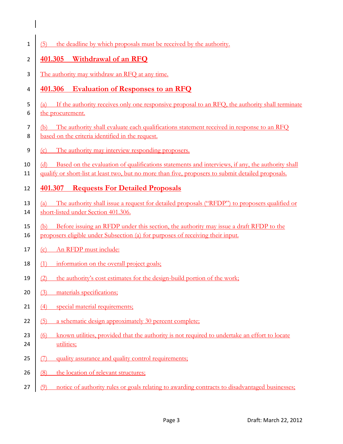1 (5) the deadline by which proposals must be received by the authority.

# 2 **401.305 Withdrawal of an RFQ**

3 The authority may withdraw an RFO at any time.

# <span id="page-20-0"></span>4 **401.306 Evaluation of Responses to an RFQ**

- 5 (a) If the authority receives only one responsive proposal to an RFQ, the authority shall terminate 6 the procurement.
- 7 (b) The authority shall evaluate each qualifications statement received in response to an RFQ 8 based on the criteria identified in the request.
- 9 (c) The authority may interview responding proposers.
- 10 (d) Based on the evaluation of qualifications statements and interviews, if any, the authority shall
- 11 qualify or short-list at least two, but no more than five, proposers to submit detailed proposals.

#### 12 **401.307 Requests For Detailed Proposals**

- 13 (a) The authority shall issue a request for detailed proposals ("RFDP") to proposers qualified or 14 | short-listed under Section [401.306.](#page-20-0)
- 15 (b) Before issuing an RFDP under this section, the authority may issue a draft RFDP to the
- 16 proposers eligible under Subsection (a) for purposes of receiving their input.
- 17 (c) An RFDP must include:
- 18 (1) information on the overall project goals;
- 19 (2) the authority's cost estimates for the design-build portion of the work;
- 20 (3) materials specifications;
- 21 (4) special material requirements;
- 22 (5) a schematic design approximately 30 percent complete;
- 23 (6) known utilities, provided that the authority is not required to undertake an effort to locate 24 utilities;
- 25 (7) quality assurance and quality control requirements;
- 26 (8) the location of relevant structures;
- 27 (9) notice of authority rules or goals relating to awarding contracts to disadvantaged businesses;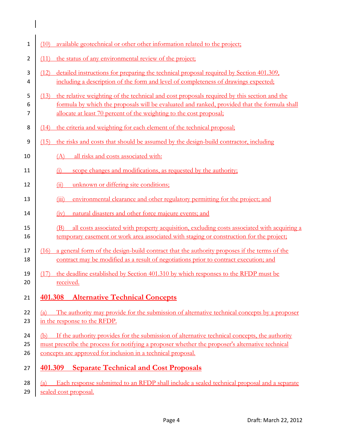<span id="page-21-0"></span>

| 1              | available geotechnical or other other information related to the project;<br>(10)                                                                                                                                                                                          |
|----------------|----------------------------------------------------------------------------------------------------------------------------------------------------------------------------------------------------------------------------------------------------------------------------|
| $\overline{2}$ | the status of any environmental review of the project;<br>(11)                                                                                                                                                                                                             |
| 3<br>4         | detailed instructions for preparing the technical proposal required by Section 401.309,<br>(12)<br>including a description of the form and level of completeness of drawings expected;                                                                                     |
| 5<br>6<br>7    | the relative weighting of the technical and cost proposals required by this section and the<br>(13)<br>formula by which the proposals will be evaluated and ranked, provided that the formula shall<br>allocate at least 70 percent of the weighting to the cost proposal; |
| 8              | the criteria and weighting for each element of the technical proposal;<br>(14)                                                                                                                                                                                             |
| 9              | the risks and costs that should be assumed by the design-build contractor, including<br>(15)                                                                                                                                                                               |
| 10             | all risks and costs associated with:<br>(A)                                                                                                                                                                                                                                |
| 11             | scope changes and modifications, as requested by the authority;<br>$\Omega$                                                                                                                                                                                                |
| 12             | unknown or differing site conditions;<br>(ii)                                                                                                                                                                                                                              |
| 13             | environmental clearance and other regulatory permitting for the project; and<br>(iii)                                                                                                                                                                                      |
| 14             | natural disasters and other force majeure events; and<br>(iv)                                                                                                                                                                                                              |
| 15<br>16       | all costs associated with property acquisition, excluding costs associated with acquiring a<br>(B)<br>temporary easement or work area associated with staging or construction for the project;                                                                             |
| 17<br>18       | a general form of the design-build contract that the authority proposes if the terms of the<br>(16)<br>contract may be modified as a result of negotiations prior to contract execution; and                                                                               |
| 19<br>20       | the deadline established by Section 401.310 by which responses to the RFDP must be<br>(17)<br>received.                                                                                                                                                                    |
| 21             | 401.308<br><b>Alternative Technical Concepts</b>                                                                                                                                                                                                                           |
| 22<br>23       | (a) The authority may provide for the submission of alternative technical concepts by a proposer<br>in the response to the RFDP.                                                                                                                                           |
| 24<br>25<br>26 | If the authority provides for the submission of alternative technical concepts, the authority<br>(b)<br>must prescribe the process for notifying a proposer whether the proposer's alternative technical<br>concepts are approved for inclusion in a technical proposal.   |
| 27             | 401.309<br><b>Separate Technical and Cost Proposals</b>                                                                                                                                                                                                                    |
| 28<br>29       | Each response submitted to an RFDP shall include a sealed technical proposal and a separate<br>(a)<br>sealed cost proposal.                                                                                                                                                |

 $\overline{\phantom{a}}$  $\overline{1}$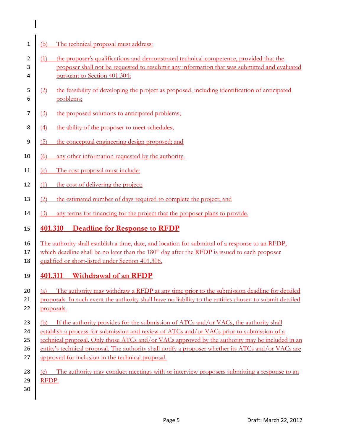- 1 (b) The technical proposal must address:
- 2 (1) the proposer's qualifications and demonstrated technical competence, provided that the 3 proposer shall not be requested to resubmit any information that was submitted and evaluated 4 pursuant to Section [401.304;](#page-19-0)
- 5 (2) the feasibility of developing the project as proposed, including identification of anticipated 6 problems;
- 7 (3) the proposed solutions to anticipated problems;
- 8 (4) the ability of the proposer to meet schedules;
- 9 (5) the conceptual engineering design proposed; and
- 10 (6) any other information requested by the authority.
- 11 (c) The cost proposal must include:
- 12 (1) the cost of delivering the project;
- 13 (2) the estimated number of days required to complete the project; and
- 14 (3) any terms for financing for the project that the proposer plans to provide.

#### <span id="page-22-0"></span>15 **401.310 Deadline for Response to RFDP**

- 16 The authority shall establish a time, date, and location for submittal of a response to an RFDP,
- 17 which deadline shall be no later than the  $180<sup>th</sup>$  day after the RFDP is issued to each proposer
- 18 | qualified or short-listed under Section [401.306.](#page-20-0)

#### 19 **401.311 Withdrawal of an RFDP**

- 20  $\int$  (a) The authority may withdraw a RFDP at any time prior to the submission deadline for detailed
- 21 proposals. In such event the authority shall have no liability to the entities chosen to submit detailed 22 proposals.
- 23 (b) If the authority provides for the submission of ATCs and/or VACs, the authority shall
- 24 establish a process for submission and review of ATCs and/or VACs prior to submission of a
- 25 technical proposal. Only those ATCs and/or VACs approved by the authority may be included in an
- 26 entity's technical proposal. The authority shall notify a proposer whether its ATCs and/or VACs are
- 27 approved for inclusion in the technical proposal.
- 28 (c) The authority may conduct meetings with or interview proposers submitting a response to an 29 RFDP.
- 30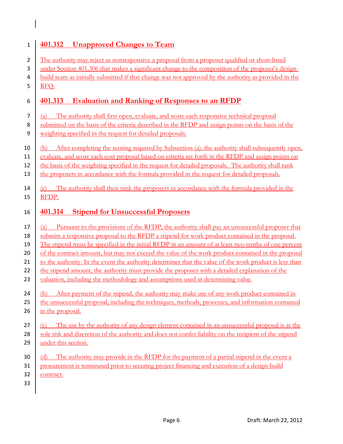# 1 **401.312 Unapproved Changes to Team**

- 2 The authority may reject as nonresponsive a proposal from a proposer qualified or short-listed
- 3 under Section [401.306](#page-20-0) that makes a significant change to the composition of the proposer's design-
- 4 build team as initially submitted if that change was not approved by the authority as provided in the
- 5 RFQ.

# <span id="page-23-0"></span>6 **401.313 Evaluation and Ranking of Responses to an RFDP**

- 7 (a) The authority shall first open, evaluate, and score each responsive technical proposal
- 8 submitted on the basis of the criteria described in the RFDP and assign points on the basis of the 9 weighting specified in the request for detailed proposals.
- 10 (b) After completing the scoring required by Subsection (a), the authority shall subsequently open,
- 11 evaluate, and score each cost proposal based on criteria set forth in the RFDP and assign points on
- 12 the basis of the weighting specified in the request for detailed proposals. The authority shall rank
- 13 the proposers in accordance with the formula provided in the request for detailed proposals.
- 14 (c) The authority shall then rank the proposers in accordance with the formula provided in the 15 RFDP.

# <span id="page-23-1"></span>16 **401.314 Stipend for Unsuccessful Proposers**

- 17 (a) Pursuant to the provisions of the RFDP, the authority shall pay an unsuccessful proposer that
- 18 submits a responsive proposal to the RFDP a stipend for work product contained in the proposal.
- 19 The stipend must be specified in the initial RFDP in an amount of at least two-tenths of one percent
- 20 of the contract amount, but may not exceed the value of the work product contained in the proposal
- 21 to the authority. In the event the authority determines that the value of the work product is less than
- 22 the stipend amount, the authority must provide the proposer with a detailed explanation of the
- 23 valuation, including the methodology and assumptions used in determining value.
- 24 (b) After payment of the stipend, the authority may make use of any work product contained in
- 25 the unsuccessful proposal, including the techniques, methods, processes, and information contained 26 in the proposal.
- 
- 27 (c) The use by the authority of any design element contained in an unsuccessful proposal is at the
- 28 sole risk and discretion of the authority and does not confer liability on the recipient of the stipend
- 29 under this section.
- 30 (d) The authority may provide in the RFDP for the payment of a partial stipend in the event a
- 31 procurement is terminated prior to securing project financing and execution of a design-build
- 32 contract.
- 33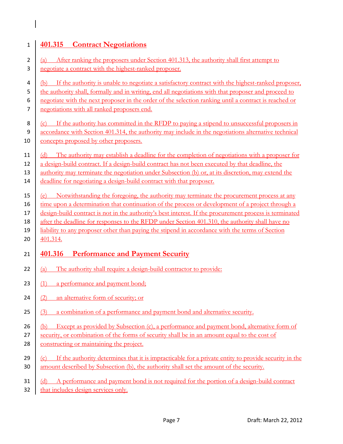# 1 **401.315 Contract Negotiations**

| 2<br>3                                     | After ranking the proposers under Section 401.313, the authority shall first attempt to<br>(a)<br>negotiate a contract with the highest-ranked proposer.                                                                                                                                                                                                                                                                                                                                                                          |
|--------------------------------------------|-----------------------------------------------------------------------------------------------------------------------------------------------------------------------------------------------------------------------------------------------------------------------------------------------------------------------------------------------------------------------------------------------------------------------------------------------------------------------------------------------------------------------------------|
| $\overline{4}$<br>5<br>6<br>$\overline{7}$ | If the authority is unable to negotiate a satisfactory contract with the highest-ranked proposer,<br>(b)<br>the authority shall, formally and in writing, end all negotiations with that proposer and proceed to<br>negotiate with the next proposer in the order of the selection ranking until a contract is reached or<br>negotiations with all ranked proposers end.                                                                                                                                                          |
| 8<br>9<br>10                               | If the authority has committed in the RFDP to paying a stipend to unsuccessful proposers in<br>(c)<br>accordance with Section 401.314, the authority may include in the negotiations alternative technical<br>concepts proposed by other proposers.                                                                                                                                                                                                                                                                               |
| 11<br>12<br>13<br>14                       | The authority may establish a deadline for the completion of negotiations with a proposer for<br>(d)<br>a design-build contract. If a design-build contract has not been executed by that deadline, the<br>authority may terminate the negotiation under Subsection (b) or, at its discretion, may extend the<br>deadline for negotiating a design-build contract with that proposer.                                                                                                                                             |
| 15<br>16<br>17<br>18<br>19<br>20           | Notwithstanding the foregoing, the authority may terminate the procurement process at any<br>(e)<br>time upon a determination that continuation of the process or development of a project through a<br>design-build contract is not in the authority's best interest. If the procurement process is terminated<br>after the deadline for responses to the RFDP under Section 401.310, the authority shall have no<br>liability to any proposer other than paying the stipend in accordance with the terms of Section<br>401.314. |
| 21                                         | <b>Performance and Payment Security</b><br>401.316                                                                                                                                                                                                                                                                                                                                                                                                                                                                                |
| 22                                         | The authority shall require a design-build contractor to provide:<br>(a)                                                                                                                                                                                                                                                                                                                                                                                                                                                          |
| 23                                         | a performance and payment bond;<br>(1)                                                                                                                                                                                                                                                                                                                                                                                                                                                                                            |
| 24                                         | an alternative form of security; or<br>(2)                                                                                                                                                                                                                                                                                                                                                                                                                                                                                        |
| 25                                         | a combination of a performance and payment bond and alternative security.<br>(3)                                                                                                                                                                                                                                                                                                                                                                                                                                                  |
| 26<br>27<br>28                             | Except as provided by Subsection (c), a performance and payment bond, alternative form of<br>(b)<br>security, or combination of the forms of security shall be in an amount equal to the cost of<br>constructing or maintaining the project.                                                                                                                                                                                                                                                                                      |
| 29<br>30                                   | (c) If the authority determines that it is impracticable for a private entity to provide security in the<br>amount described by Subsection (b), the authority shall set the amount of the security.                                                                                                                                                                                                                                                                                                                               |
| 31<br>32                                   | A performance and payment bond is not required for the portion of a design-build contract<br>(d)<br>that includes design services only.                                                                                                                                                                                                                                                                                                                                                                                           |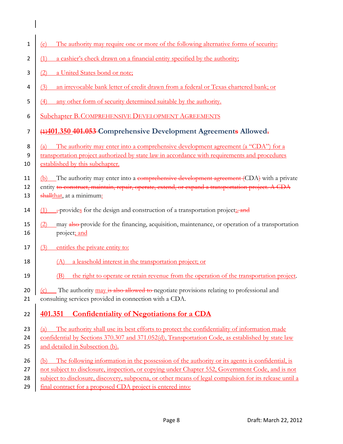| 1                    | The authority may require one or more of the following alternative forms of security:<br><u>(e)</u>                                                                                                                                                                                                                                                                               |
|----------------------|-----------------------------------------------------------------------------------------------------------------------------------------------------------------------------------------------------------------------------------------------------------------------------------------------------------------------------------------------------------------------------------|
| 2                    | a cashier's check drawn on a financial entity specified by the authority;<br>(1)                                                                                                                                                                                                                                                                                                  |
| 3                    | a United States bond or note;<br>(2)                                                                                                                                                                                                                                                                                                                                              |
| 4                    | an irrevocable bank letter of credit drawn from a federal or Texas chartered bank; or<br>(3)                                                                                                                                                                                                                                                                                      |
| 5                    | any other form of security determined suitable by the authority.<br>(4)                                                                                                                                                                                                                                                                                                           |
| 6                    | <b>Subchapter B. COMPREHENSIVE DEVELOPMENT AGREEMENTS</b>                                                                                                                                                                                                                                                                                                                         |
| 7                    | (4)401.350 401.053 Comprehensive Development Agreements Allowed.                                                                                                                                                                                                                                                                                                                  |
| 8<br>9<br>10         | The authority may enter into a comprehensive development agreement (a "CDA") for a<br>(a)<br>transportation project authorized by state law in accordance with requirements and procedures<br>established by this subchapter.                                                                                                                                                     |
| 11<br>12<br>13       | (b) The authority may enter into a comprehensive development agreement (CDA) with a private<br>entity to construct, maintain, repair, operate, extend, or expand a transportation project. A CDA<br>shallthat, at a minimum:                                                                                                                                                      |
| 14                   | provides for the design and construction of a transportation project; and<br>(1)                                                                                                                                                                                                                                                                                                  |
| 15<br>16             | may also-provide for the financing, acquisition, maintenance, or operation of a transportation<br>(2)<br>project; and                                                                                                                                                                                                                                                             |
| 17                   | entitles the private entity to:<br>(3)                                                                                                                                                                                                                                                                                                                                            |
| 18                   | a leasehold interest in the transportation project; or<br>(A)                                                                                                                                                                                                                                                                                                                     |
| 19                   | the right to operate or retain revenue from the operation of the transportation project.<br>(B)                                                                                                                                                                                                                                                                                   |
| 20<br>21             | The authority may is also allowed to negotiate provisions relating to professional and<br>(c)<br>consulting services provided in connection with a CDA.                                                                                                                                                                                                                           |
| 22                   | <b>Confidentiality of Negotiations for a CDA</b><br>401.351                                                                                                                                                                                                                                                                                                                       |
| 23<br>24<br>25       | The authority shall use its best efforts to protect the confidentiality of information made<br>(a)<br>confidential by Sections 370.307 and 371.052(d), Transportation Code, as established by state law<br>and detailed in Subsection (b).                                                                                                                                        |
| 26<br>27<br>28<br>29 | The following information in the possession of the authority or its agents is confidential, is<br>(b)<br>not subject to disclosure, inspection, or copying under Chapter 552, Government Code, and is not<br>subject to disclosure, discovery, subpoena, or other means of legal compulsion for its release until a<br>final contract for a proposed CDA project is entered into: |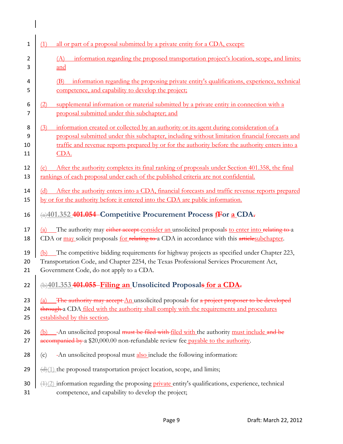<span id="page-26-1"></span><span id="page-26-0"></span>

| 1                  | all or part of a proposal submitted by a private entity for a CDA, except:                                                                                                                                                                                                                                  |
|--------------------|-------------------------------------------------------------------------------------------------------------------------------------------------------------------------------------------------------------------------------------------------------------------------------------------------------------|
| 2<br>3             | information regarding the proposed transportation project's location, scope, and limits;<br>(A)<br>and                                                                                                                                                                                                      |
| 4<br>5             | (B) information regarding the proposing private entity's qualifications, experience, technical<br>competence, and capability to develop the project;                                                                                                                                                        |
| 6<br>7             | supplemental information or material submitted by a private entity in connection with a<br>proposal submitted under this subchapter; and                                                                                                                                                                    |
| 8<br>9<br>10<br>11 | information created or collected by an authority or its agent during consideration of a<br>(3)<br>proposal submitted under this subchapter, including without limitation financial forecasts and<br>traffic and revenue reports prepared by or for the authority before the authority enters into a<br>CDA. |
| 12                 | After the authority completes its final ranking of proposals under Section 401.358, the final<br>(c)                                                                                                                                                                                                        |
| 13                 | rankings of each proposal under each of the published criteria are not confidential.                                                                                                                                                                                                                        |
| 14                 | After the authority enters into a CDA, financial forecasts and traffic revenue reports prepared<br>(d)                                                                                                                                                                                                      |
| 15                 | by or for the authority before it entered into the CDA are public information.                                                                                                                                                                                                                              |
| 16                 | (a) 401.352 401.054 Competitive Procurement Process For a CDA.                                                                                                                                                                                                                                              |
| 17<br>18           | (a) The authority may either accept consider an unsolicited proposals to enter into relating to a<br>CDA or may solicit proposals for relating to a CDA in accordance with this articlesubchapter.                                                                                                          |
| 19<br>20<br>21     | The competitive bidding requirements for highway projects as specified under Chapter 223,<br>(b)<br>Transportation Code, and Chapter 2254, the Texas Professional Services Procurement Act,<br>Government Code, do not apply to a CDA.                                                                      |
| 22                 | (b)401.353 401.055 Filing an Unsolicited Proposals for a CDA.                                                                                                                                                                                                                                               |
| 23<br>24<br>25     | The authority may accept $\Delta n$ unsolicited proposals for a project proposer to be developed<br>(a)<br>through a CDA filed with the authority shall comply with the requirements and procedures<br>established by this section.                                                                         |
| 26<br>27           | -An unsolicited proposal must be filed with filed with the authority must include and be<br>(b)<br>accompanied by a \$20,000.00 non-refundable review fee payable to the authority.                                                                                                                         |
| 28                 | -An unsolicited proposal must also include the following information:<br>(c)                                                                                                                                                                                                                                |
| 29                 | $\left(\frac{d}{1}\right)$ the proposed transportation project location, scope, and limits;                                                                                                                                                                                                                 |
| 30<br>31           | $\left(\frac{4}{2}\right)$ information regarding the proposing private entity's qualifications, experience, technical<br>competence, and capability to develop the project;                                                                                                                                 |

 $\overline{\phantom{a}}$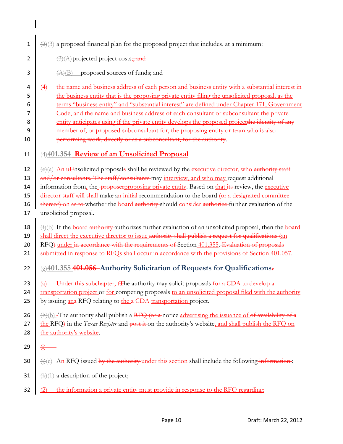- 1  $\left( \frac{2}{3} \right)$  a proposed financial plan for the proposed project that includes, at a minimum:
- 2  $\left( \frac{\langle 3 \rangle (\Lambda)}{\Delta} \right)$  projected project costs: and
- $\overline{3}$  (A)(B) proposed sources of funds; and
- 4 (4) the name and business address of each person and business entity with a substantial interest in 5 the business entity that is the proposing private entity filing the unsolicited proposal, as the 6 terms "business entity" and "substantial interest" are defined under Chapter 171, Government 7 Code, and the name and business address of each consultant or subconsultant the private 8 entity anticipates using if the private entity develops the proposed project the identity of any 9 member of, or proposed subconsultant for, the proposing entity or team who is also 10 **performing work, directly or as a subconsultant, for the authority.**
- 11 (4)**401.354 Review of an Unsolicited Proposal**

12  $\int$   $\langle e \rangle$ (a) An uUnsolicited proposals shall be reviewed by the executive director, who authority staff

13  $\frac{1}{\pi}$  and/or consultants. The staff/consultants may interview, and who may request additional

14 information from, the **proposerproposing private entity**. Based on that its review, the executive

15 director staff will shall make an initial recommendation to the board (or a designated committee

- 16 thereof) on as to whether the board authority should consider authorize further evaluation of the
- 17 unsolicited proposal.
- <span id="page-27-1"></span>18  $(\#)(b)$  If the board authority authorizes further evaluation of an unsolicited proposal, then the board
- 19 | shall direct the executive director to issue authority shall publish a request for qualifications (an
- 20 RFQ) under in accordance with the requirements of Section [401.355.](#page-27-0) Evaluation of proposals
- 21 submitted in response to RFQs shall occur in accordance with the provisions of Section [401.057.](#page-28-0)

# <span id="page-27-0"></span>22 (g)**401.355 401.056 Authority Solicitation of Requests for Qualifications.**

- 23 (a) Under this subchapter, t<sub>t</sub> The authority may solicit proposals for a CDA to develop a
- 24 transportation project or for competing proposals to an unsolicited proposal filed with the authority 25 by issuing  $\frac{\text{and}}{\text{arg}}$  RFQ relating to the  $\frac{\text{a} \text{CDA}}{\text{transportion}}$  project.
- 26 (h)(b) The authority shall publish a RFQ (or a notice advertising the issuance of of availability of a 27 the RFQ) in the *Texas Register* and post it on the authority's website, and shall publish the RFQ on 28 the authority's website.
- 29  $\left( \frac{1}{1} \right)$
- 30  $(\theta)(c)$  An RFQ issued by the authority under this section shall include the following information :
- 31  $\frac{4k}{12}$  a description of the project;
- 32 (2) the information a private entity must provide in response to the RFQ regarding: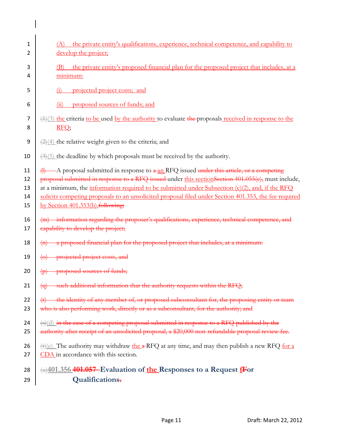<span id="page-28-0"></span>Page 11 Draft: March 22, 2012 4 minimum: (i) projected project costs; and (ii) proposed sources of funds; and  $(1)(3)$  the criteria to be used by the authority to evaluate the proposals received in response to the 8 RFQ;  $\left( \frac{2}{4} \right)$  the relative weight given to the criteria; and  $\left( \frac{3}{5} \right)$  the deadline by which proposals must be received by the authority.  $\left(4\right)$  A proposal submitted in response to  $\frac{4}{\text{an}}$  RFQ issued under this article, or a competing  $\parallel$  proposal submitted in response to a RFQ issued under this sectionSection 401.055(e), must include, 13 at a minimum, the information required to be submitted under Subsection  $(c)(2)$ , and, if the RFQ solicits competing proposals to an unsolicited proposal filed under Section [401.353,](#page-26-0) the fee required 15 by Section  $401.353(b)$ . following: 16 (m) information regarding the proposer's qualifications, experience, technical competence, and **eapability to develop the project;**  $\int$   $\pi$   $\theta$   $\rightarrow$  a proposed financial plan for the proposed project that includes, at a minimum:  $\boxed{(0)}$  projected project costs, and  $\left(\frac{p}{p}\right)$  proposed sources of funds;  $\left( \theta \right)$  such additional information that the authority requests within the RFQ;  $(r)$  the identity of any member of, or proposed subconsultant for, the proposing entity or team 23 who is also performing work, directly or as a subconsultant, for the authority; and  $(\text{S}(d))$  in the case of a competing proposal submitted in response to a RFQ published by the 25 authority after receipt of an unsolicited proposal, a \$20,000 non-refundable proposal review fee. 26 (t)(e) The authority may withdraw the  $\alpha$ -RFQ at any time, and may then publish a new RFQ for a 27 CDA in accordance with this section. (u)**401.356 401.057 Evaluation of the Responses to a Request fFor Qualifications.**

1 (A) the private entity's qualifications, experience, technical competence, and capability to

3 (B) the private entity's proposed financial plan for the proposed project that includes, at a

2 develop the project;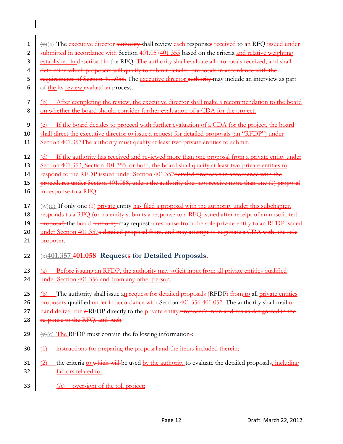<span id="page-29-0"></span>

| 1<br>2 | $\forall x \in \mathbb{R}$ The executive director authority shall review each responses received to an RFQ issued under<br>submitted in accordance with Section 401.057401.355 based on the criteria and relative weighting |
|--------|-----------------------------------------------------------------------------------------------------------------------------------------------------------------------------------------------------------------------------|
| 3      | established in described in the RFQ. The authority shall evaluate all proposals received, and shall                                                                                                                         |
| 4      | determine which proposers will qualify to submit detailed proposals in accordance with the                                                                                                                                  |
| 5      | requirements of Section 401.058. The executive director authority may include an interview as part                                                                                                                          |
| 6      | of the its review evaluation process.                                                                                                                                                                                       |
| 7      | (b) After completing the review, the executive director shall make a recommendation to the board                                                                                                                            |
| 8      | on whether the board should consider further evaluation of a CDA for the project.                                                                                                                                           |
|        |                                                                                                                                                                                                                             |
| 9      | (c) If the board decides to proceed with further evaluation of a CDA for the project, the board                                                                                                                             |
| 10     | shall direct the executive director to issue a request for detailed proposals (an "RFDP") under                                                                                                                             |
| 11     | Section 401.357 The authority must qualify at least two private entities to submit.                                                                                                                                         |
| 12     | (d) If the authority has received and reviewed more than one proposal from a private entity under                                                                                                                           |
| 13     | Section 401.353, Section 401.355, or both, the board shall qualify at least two private entities to                                                                                                                         |
| 14     | respond to the RFDP issued under Section 401.357 detailed proposals in accordance with the                                                                                                                                  |
| 15     | procedures under Section 401.058, unless the authority does not receive more than one (1) proposal                                                                                                                          |
| 16     | in response to a RFQ.                                                                                                                                                                                                       |
|        |                                                                                                                                                                                                                             |
| 17     | $(\mathbf{w})(e)$ -If only one $(1)$ -private entity has filed a proposal with the authority under this subchapter,                                                                                                         |
| 18     | responds to a RFQ (or no entity submits a response to a RFQ issued after receipt of an unsolicited                                                                                                                          |
| 19     | proposal) the board authority may request a response from the sole private entity to an RFDP issued                                                                                                                         |
| 20     | under Section 401.357a detailed proposal from, and may attempt to negotiate a CDA with, the sole                                                                                                                            |
| 21     | proposer.                                                                                                                                                                                                                   |
|        |                                                                                                                                                                                                                             |
| 22     | <b>(x)</b> 401.357 401.058 Requests for Detailed Proposals.                                                                                                                                                                 |
| 23     | Before issuing an RFDP, the authority may solicit input from all private entities qualified<br>(a)                                                                                                                          |
| 24     | under Section 401.356 and from any other person.                                                                                                                                                                            |
|        |                                                                                                                                                                                                                             |
| 25     | (b) The authority shall issue an request for detailed proposals (RFDP) from to all private entities                                                                                                                         |
| 26     | proposers-qualified under in accordance with Section 401.356-401.057. The authority shall mail or                                                                                                                           |
| 27     | hand deliver the a-RFDP directly to the private entity proposer's main address as designated in the                                                                                                                         |
| 28     | response to the RFQ, and such                                                                                                                                                                                               |
| 29     | $\frac{f(x)}{f(x)}$ The RFDP must contain the following information-:                                                                                                                                                       |
| 30     | instructions for preparing the proposal and the items included therein;<br>(1)                                                                                                                                              |
| 31     | the criteria to which will be used by the authority to evaluate the detailed proposals, including<br>(2)                                                                                                                    |
| 32     | factors related to:                                                                                                                                                                                                         |
|        |                                                                                                                                                                                                                             |
| 33     | oversight of the toll project;<br>(A)                                                                                                                                                                                       |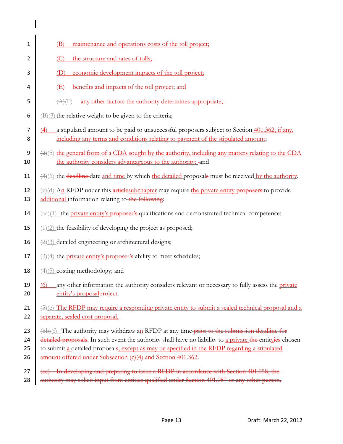- 1 (B) maintenance and operations costs of the toll project;
- 2 (C) the structure and rates of tolls;
- 3 (D) economic development impacts of the toll project;
- 4 (E) benefits and impacts of the toll project; and
- $5 \left( \frac{(A)(F)}{F} \right)$  any other factors the authority determines appropriate;
- 6 ( $\frac{B(3)}{B}$  the relative weight to be given to the criteria;
- 7 (4) a stipulated amount to be paid to unsuccessful proposers subject to Section [401.362,](#page-33-0) if any, 8 including any terms and conditions relating to payment of the stipulated amount;
- 9 ( $\frac{2}{5}$ ) the general form of a CDA sought by the authority, including any matters relating to the CDA 10 the authority considers advantageous to the authority; -and
- 11  $(\frac{3}{6})$  the deadline date and time by which the detailed proposals must be received by the authority.

12  $\left( \frac{\alpha}{\alpha} \right)$  An RFDP under this articlesubchapter may require the private entity proposers to provide 13 **additional information relating to the following:** 

- 14  $\frac{1}{(aa)(1)}$  the private entity's proposer's qualifications and demonstrated technical competence;
- 15  $(\oplus 2)$  the feasibility of developing the project as proposed;
- 16  $\left( \frac{2}{3} \right)$  detailed engineering or architectural designs;
- 17  $\left( \frac{3}{4} \right)$  the private entity's proposer's ability to meet schedules;
- 18  $(4)(5)$  costing methodology; and
- 19 (6) any other information the authority considers relevant or necessary to fully assess the private 20 entity's proposal project.
- 21  $(\frac{5}{e})$  The RFDP may require a responding private entity to submit a sealed technical proposal and a 22 separate, sealed cost proposal.
- 23 (bb) $(f)$  The authority may withdraw an RFDP at any time-prior to the submission deadline for
- 24  $\frac{1}{2}$  detailed proposals. In such event the authority shall have no liability to a private the entityies chosen
- 25 to submit a detailed proposals, except as may be specified in the RFDP regarding a stipulated
- 26 amount offered under Subsection (c)(4) and Section [401.362.](#page-33-0)
- 27  $\left($  (ec) In developing and preparing to issue a RFDP in accordance with Section [401.058,](#page-29-0) the
- 28 authority may solicit input from entities qualified under Section [401.057](#page-28-0) or any other person.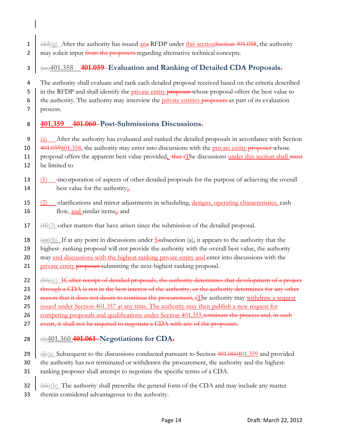1  $\left(\frac{dd}{g}\right)$  After the authority has issued ana RFDP under this sectionSection [401.058,](#page-29-0) the authority 2 may solicit input from the proposers regarding alternative technical concepts.

# <span id="page-31-0"></span>3 (ee)**401.358 401.059 Evaluation and Ranking of Detailed CDA Proposals.**

4 The authority shall evaluate and rank each detailed proposal received based on the criteria described 5 in the RFDP and shall identify the *private entity* proposer-whose proposal offers the best value to  $6$  the authority. The authority may interview the *private entities proposers* as part of its evaluation 7 process.

#### <span id="page-31-1"></span>8 **401.359 401.060 Post-Submissions Discussions.**

9 (a) After the authority has evaluated and ranked the detailed proposals in accordance with Section 10 [401.059401.358,](#page-31-0) the authority may enter into discussions with the private entity proposer whose

11 proposal offers the apparent best value provided, that  $f_{\text{The}}$  discussions under this section shall must 12 be limited to

- 13 (1) incorporation of aspects of other detailed proposals for the purpose of achieving the overall 14 best value for the authority $\frac{1}{2}$
- 15 (2) clarifications and minor adjustments in scheduling, designs, operating characteristics, cash 16 flow, and similar items; and
- 17  $\left( \frac{f(f)}{f} \right)$ -other matters that have arisen since the submission of the detailed proposal.

18  $\int \frac{1}{\epsilon} \frac{f(x)}{g(x)}$  If at any point in discussions under S subsection (a), it appears to the authority that the

19 highest- ranking proposal will not provide the authority with the overall best value, the authority

20 may end discussions with the highest-ranking private entity and enter into discussions with the

- 21 private entity proposer submitting the next-highest ranking proposal.
- 22  $\int$   $(\text{hh})(\text{c})$  If, after receipt of detailed proposals, the authority determines that development of a project

23 through a CDA is not in the best interest of the authority, or the authority determines for any other

- 24  $\vert$  reason that it does not desire to continue the procurement,  $t$  The authority may withdraw a request
- 25 issued under Section [401.357](#page-29-0) at any time. The authority may then publish a new request for
- 26 competing proposals and qualifications under Section [401.355.](#page-27-0)terminate the process and, in such
- 27 event, it shall not be required to negotiate a CDA with any of the proposers.

# 28 (ii)**401.360 401.061 Negotiations for CDA.**

29  $\int$   $\left(\frac{1}{11}\right)(a)$  Subsequent to the discussions conducted pursuant to Section [401.060401.359](#page-31-1) and provided

30 the authority has not terminated or withdrawn the procurement, the authority and the highest-

31 ranking proposer shall attempt to negotiate the specific terms of a CDA.

- $32$  (kk)(b) The authority shall prescribe the general form of the CDA and may include any matter
- 33 therein considered advantageous to the authority.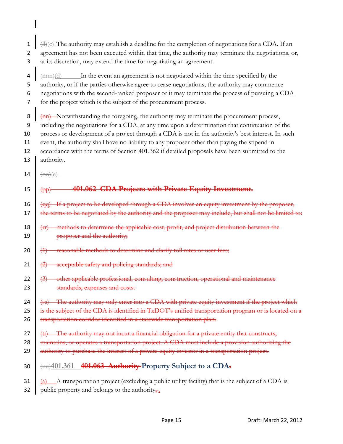1  $\frac{dH}{dx}$  The authority may establish a deadline for the completion of negotiations for a CDA. If an 2 agreement has not been executed within that time, the authority may terminate the negotiations, or, 3 at its discretion, may extend the time for negotiating an agreement.

- $4 \mid \frac{\text{(mm)}(d)}{\text{mm}}$  In the event an agreement is not negotiated within the time specified by the 5 authority, or if the parties otherwise agree to cease negotiations, the authority may commence 6 negotiations with the second-ranked proposer or it may terminate the process of pursuing a CDA
- 7 for the project which is the subject of the procurement process.

 $8 \frac{(\text{nm})}{\text{Mott}}$  Notwithstanding the foregoing, the authority may terminate the procurement process,

9 including the negotiations for a CDA, at any time upon a determination that continuation of the

10 process or development of a project through a CDA is not in the authority's best interest. In such

11 event, the authority shall have no liability to any proposer other than paying the stipend in

12 accordance with the terms of Section [401.362](#page-33-0) if detailed proposals have been submitted to the

- 13 | authority.
- 14  $(\Theta \Theta)(e)$

# 15 (pp) **401.062 CDA Projects with Private Equity Investment.**

- 16  $\frac{1}{16}$  (qq) If a project to be developed through a CDA involves an equity investment by the proposer, 17  $\parallel$  the terms to be negotiated by the authority and the proposer may include, but shall not be limited to:
- 18  $\frac{1}{r}$  methods to determine the applicable cost, profit, and project distribution between the 19 **proposer and the authority;**
- 20  $(1)$  reasonable methods to determine and clarify toll rates or user fees;
- 21  $(2)$  acceptable safety and policing standards; and
- 22  $\left(3\right)$  other applicable professional, consulting, construction, operational and maintenance 23 standards, expenses and costs.
- 24  $($   $\sqrt{(ss)}$  The authority may only enter into a CDA with private equity investment if the project which
- 25  $\parallel$  is the subject of the CDA is identified in TxDOT's unified transportation program or is located on a 26 **transportation corridor identified in a statewide transportation plan.**
- 27  $\left| \right|$  (tt) The authority may not incur a financial obligation for a private entity that constructs,
- 28 maintains, or operates a transportation project. A CDA must include a provision authorizing the
- 29 authority to purchase the interest of a private equity investor in a transportation project.
- 30 (uu)**401.361 401.063 Authority Property Subject to a CDA.**
- 31 (a) A transportation project (excluding a public utility facility) that is the subject of a CDA is 32 | public property and belongs to the authority,.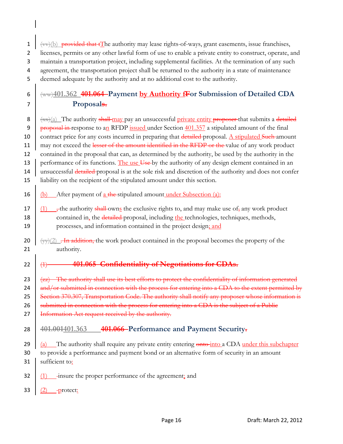1 (vv)(b) provided that  $fI$ he authority may lease rights-of-ways, grant easements, issue franchises, licenses, permits or any other lawful form of use to enable a private entity to construct, operate, and maintain a transportation project, including supplemental facilities. At the termination of any such agreement, the transportation project shall be returned to the authority in a state of maintenance deemed adequate by the authority and at no additional cost to the authority.

# <span id="page-33-0"></span>6 (ww)**401.362 401.064 Payment by Authority fFor Submission of Detailed CDA**  7 **Proposals.**

8  $\left(\frac{xx}{xx}\right)$  The authority shall may pay an unsuccessful private entity proposer that submits a detailed 9 proposal in response to an RFDP issued under Section  $401.357$  a stipulated amount of the final 10 contract price for any costs incurred in preparing that detailed proposal. A stipulated Such amount 11 may not exceed the lesser of the amount identified in the RFDP or the value of any work product 12 contained in the proposal that can, as determined by the authority, be used by the authority in the 13 performance of its functions. The use Use by the authority of any design element contained in an 14 unsuccessful detailed proposal is at the sole risk and discretion of the authority and does not confer 15 liability on the recipient of the stipulated amount under this section.

- 16 (b) After payment of  $\underline{a}$  the stipulated amount <u>under Subsection (a)</u>:
- 17 (1)  $\tau$  the authority shall-owns the exclusive rights to, and may make use of any work product 18 contained in, the detailed proposal, including the technologies, techniques, methods, 19 processes, and information contained in the project design; and
- 20  $\frac{1}{\sqrt{y}}(2)$ . In addition, the work product contained in the proposal becomes the property of the 21 authority.
- 22 (1) **401.065 Confidentiality of Negotiations for CDAs.**

23  $(xz)$  The authority shall use its best efforts to protect the confidentiality of information generated

24 and/or submitted in connection with the process for entering into a CDA to the extent permitted by

25 Section 370.307, Transportation Code. The authority shall notify any proposer whose information is

26 Submitted in connection with the process for entering into a CDA is the subject of a Public

27 | Information Act request received by the authority.

#### 28 **401.001401.363 401.066 Performance and Payment Security.**

29 (a) The authority shall require any private entity entering  $\frac{\partial^2 u}{\partial x^2}$  a CDA under this subchapter 30 to provide a performance and payment bond or an alternative form of security in an amount 31 sufficient to:

- 32  $(1)$  insure the proper performance of the agreement; and
- 33  $(2)$  protect: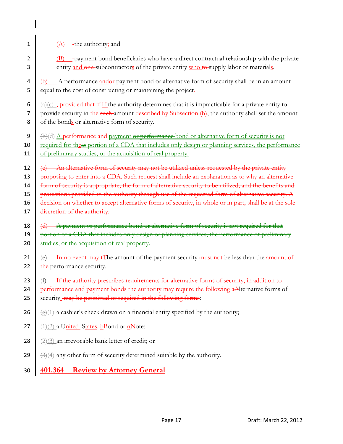- 1  $(A)$  -the authority; and
- 2 (B) payment bond beneficiaries who have a direct contractual relationship with the private 3 entity  $\frac{\text{and } \text{or } a \text{-subcontractors}}{\text{of the private entity } \text{who to } a \text{-subpor or material}}$ .
- $\frac{4}{10}$  (b) A performance and or payment bond or alternative form of security shall be in an amount 5 equal to the cost of constructing or maintaining the project.

6  $\frac{a}{c}$   $\frac{a}{c}$ , provided that if If the authority determines that it is impracticable for a private entity to 7 provide security in the such amount described by Subsection (b), the authority shall set the amount 8 of the bonds or alternative form of security.

- 9 (b)(d) A performance and payment or performance bond or alternative form of security is not
- 10 required for theat portion of a CDA that includes only design or planning services, the performance 11 <u>of preliminary studies, or the acquisition of real property.</u>
- 12  $\left( \epsilon \right)$  An alternative form of security may not be utilized unless requested by the private entity

13 proposing to enter into a CDA. Such request shall include an explanation as to why an alternative

14 form of security is appropriate, the form of alternative security to be utilized, and the benefits and

15 | protections provided to the authority through use of the requested form of alternative security. A

- 16 decision on whether to accept alternative forms of security, in whole or in part, shall be at the sole
- 17 discretion of the authority.

18  $\left( \frac{d}{d} \right)$  A payment or performance bond or alternative form of security is not required for that

- 19  $\parallel$  portion of a CDA that includes only design or planning services, the performance of preliminary
- 20 | studies, or the acquisition of real property.
- 21 (e) In no event may  $\pm$ The amount of the payment security <u>must not</u> be less than the <u>amount of</u> 22  $\frac{1}{2}$  the performance security.
- 23 (f) If the authority prescribes requirements for alternative forms of security, in addition to
- 24 performance and payment bonds the authority may require the following aAlternative forms of 25 security  $\frac{1}{2}$  security  $\frac{1}{2}$  security  $\frac{1}{2}$  security  $\frac{1}{2}$  security  $\frac{1}{2}$  security  $\frac{1}{2}$  security  $\frac{1}{2}$  security  $\frac{1}{2}$  security  $\frac{1}{2}$  security  $\frac{1}{2}$  security  $\frac{1}{2}$  security
- 26  $\left(\bigoplus_{i=1}^{\infty} (1)$  a cashier's check drawn on a financial entity specified by the authority;
- 27  $(4)(2)$  a United . States. bBond or nNote;
- 28  $\left( \frac{2}{2} \right)$  an irrevocable bank letter of credit; or
- 29  $(\frac{3}{4})$  any other form of security determined suitable by the authority.
- 30 **401.364 Review by Attorney General**